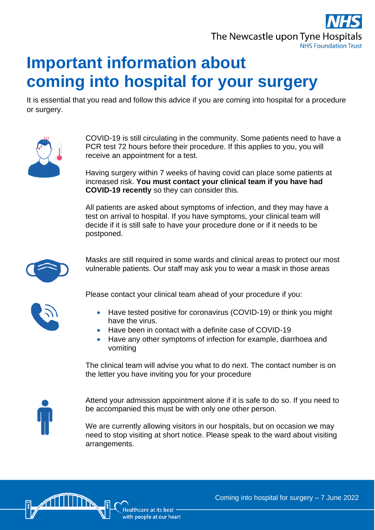

## **Important information about coming into hospital for your surgery**

It is essential that you read and follow this advice if you are coming into hospital for a procedure or surgery.



COVID-19 is still circulating in the community. Some patients need to have a PCR test 72 hours before their procedure. If this applies to you, you will receive an appointment for a test.

Having surgery within 7 weeks of having covid can place some patients at increased risk. **You must contact your clinical team if you have had COVID-19 recently** so they can consider this.

All patients are asked about symptoms of infection, and they may have a test on arrival to hospital. If you have symptoms, your clinical team will decide if it is still safe to have your procedure done or if it needs to be postponed.



Masks are still required in some wards and clinical areas to protect our most vulnerable patients. Our staff may ask you to wear a mask in those areas



Please contact your clinical team ahead of your procedure if you:

- Have tested positive for coronavirus (COVID-19) or think you might have the virus.
- Have been in contact with a definite case of COVID-19
- Have any other symptoms of infection for example, diarrhoea and vomiting

The clinical team will advise you what to do next. The contact number is on the letter you have inviting you for your procedure



Attend your admission appointment alone if it is safe to do so. If you need to be accompanied this must be with only one other person.

We are currently allowing visitors in our hospitals, but on occasion we may need to stop visiting at short notice. Please speak to the ward about visiting arrangements.



Coming into hospital for surgery – 7 June 2022